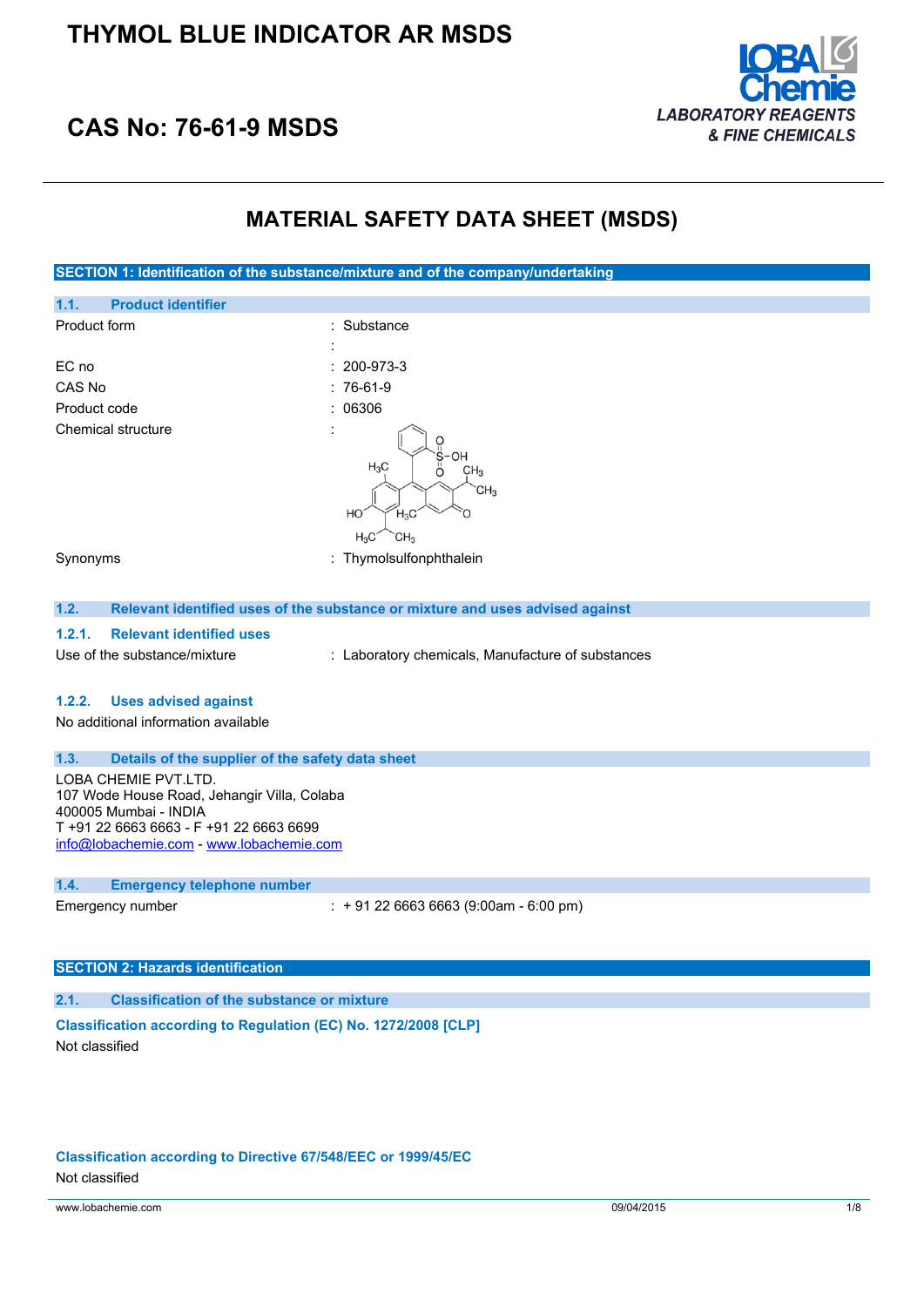

# **CAS No: 76-61-9 MSDS**

## **MATERIAL SAFETY DATA SHEET (MSDS)**

**SECTION 1: Identification of the substance/mixture and of the company/undertaking**

| 1.1.<br><b>Product identifier</b>                                                                                                                                                   |                                                                                                      |
|-------------------------------------------------------------------------------------------------------------------------------------------------------------------------------------|------------------------------------------------------------------------------------------------------|
| Product form                                                                                                                                                                        | : Substance                                                                                          |
|                                                                                                                                                                                     |                                                                                                      |
| EC no                                                                                                                                                                               | 200-973-3                                                                                            |
| CAS No                                                                                                                                                                              | 76-61-9                                                                                              |
| Product code                                                                                                                                                                        | 06306                                                                                                |
| Chemical structure                                                                                                                                                                  | OH<br>$H_3C$<br>CH <sub>3</sub><br>Ö<br>CH <sub>3</sub><br>HO<br>$H_3C$<br>CH <sub>3</sub><br>$H_3C$ |
| Synonyms                                                                                                                                                                            | : Thymolsulfonphthalein                                                                              |
|                                                                                                                                                                                     |                                                                                                      |
| 1.2.                                                                                                                                                                                | Relevant identified uses of the substance or mixture and uses advised against                        |
| 1.2.1.<br><b>Relevant identified uses</b>                                                                                                                                           |                                                                                                      |
| Use of the substance/mixture                                                                                                                                                        |                                                                                                      |
|                                                                                                                                                                                     | : Laboratory chemicals, Manufacture of substances                                                    |
| 1.2.2.<br><b>Uses advised against</b>                                                                                                                                               |                                                                                                      |
| No additional information available                                                                                                                                                 |                                                                                                      |
|                                                                                                                                                                                     |                                                                                                      |
| Details of the supplier of the safety data sheet<br>1.3.                                                                                                                            |                                                                                                      |
| LOBA CHEMIE PVT.LTD.<br>107 Wode House Road, Jehangir Villa, Colaba<br>400005 Mumbai - INDIA<br>T +91 22 6663 6663 - F +91 22 6663 6699<br>info@lobachemie.com - www.lobachemie.com |                                                                                                      |
| 1.4.<br><b>Emergency telephone number</b>                                                                                                                                           |                                                                                                      |
| Emergency number                                                                                                                                                                    | $: +912266636663(9:00am - 6:00 pm)$                                                                  |

# **SECTION 2: Hazards identification**

## **2.1. Classification of the substance or mixture**

**Classification according to Regulation (EC) No. 1272/2008 [CLP]** Not classified

### **Classification according to Directive 67/548/EEC or 1999/45/EC**

Not classified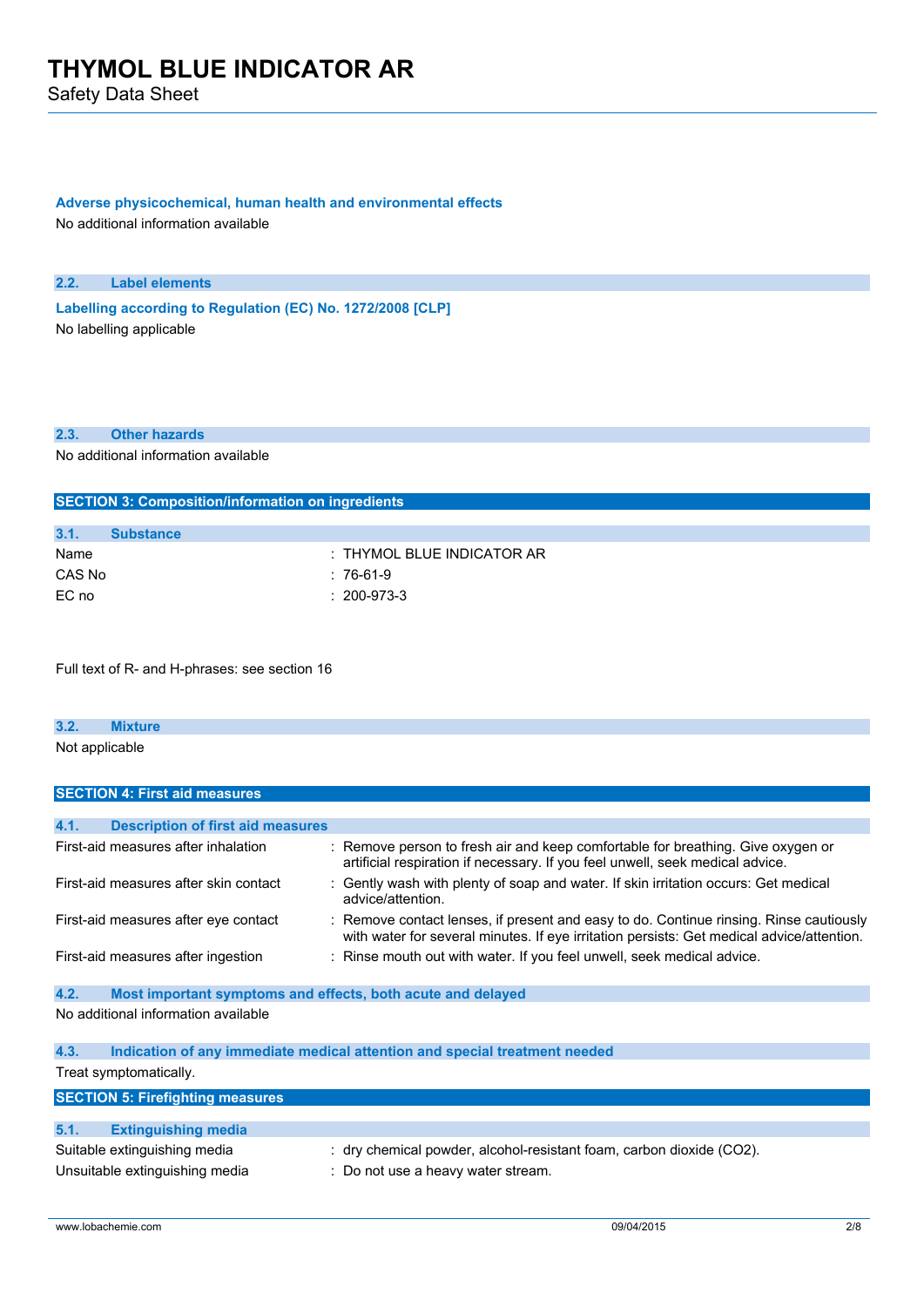Safety Data Sheet

### **Adverse physicochemical, human health and environmental effects**

No additional information available

### **2.2. Label elements**

**Labelling according** to Regulation (EC) No. 1272/2008 [CLP] No labelling applicable

## **2.3. Other hazards**

No additional information available

| <b>SECTION 3: Composition/information on ingredients</b> |                  |                            |
|----------------------------------------------------------|------------------|----------------------------|
|                                                          |                  |                            |
| 3.1.                                                     | <b>Substance</b> |                            |
| Name                                                     |                  | : THYMOL BLUE INDICATOR AR |
| CAS No                                                   |                  | : 76-61-9                  |
| EC no                                                    |                  | $: 200 - 973 - 3$          |

Full text of R- and H-phrases: see section 16

## **3.2. Mixture** Not applicable

| <b>SECTION 4: First aid measures</b>                                |                                                                                                                                                                                     |
|---------------------------------------------------------------------|-------------------------------------------------------------------------------------------------------------------------------------------------------------------------------------|
|                                                                     |                                                                                                                                                                                     |
| 4.1.<br><b>Description of first aid measures</b>                    |                                                                                                                                                                                     |
| First-aid measures after inhalation                                 | : Remove person to fresh air and keep comfortable for breathing. Give oxygen or<br>artificial respiration if necessary. If you feel unwell, seek medical advice.                    |
| First-aid measures after skin contact                               | : Gently wash with plenty of soap and water. If skin irritation occurs: Get medical<br>advice/attention.                                                                            |
| First-aid measures after eye contact                                | : Remove contact lenses, if present and easy to do. Continue rinsing. Rinse cautiously<br>with water for several minutes. If eye irritation persists: Get medical advice/attention. |
| First-aid measures after ingestion                                  | : Rinse mouth out with water. If you feel unwell, seek medical advice.                                                                                                              |
| 4.2.<br>Most important symptoms and effects, both acute and delayed |                                                                                                                                                                                     |
| No additional information available                                 |                                                                                                                                                                                     |

## **4.3. Indication of any immediate medical attention and special treatment needed** Treat symptomatically.

| <b>SECTION 5: Firefighting measures</b> |                                                                      |
|-----------------------------------------|----------------------------------------------------------------------|
|                                         |                                                                      |
| 5.1.<br><b>Extinguishing media</b>      |                                                                      |
| Suitable extinguishing media            | : dry chemical powder, alcohol-resistant foam, carbon dioxide (CO2). |
| Unsuitable extinguishing media          | : Do not use a heavy water stream.                                   |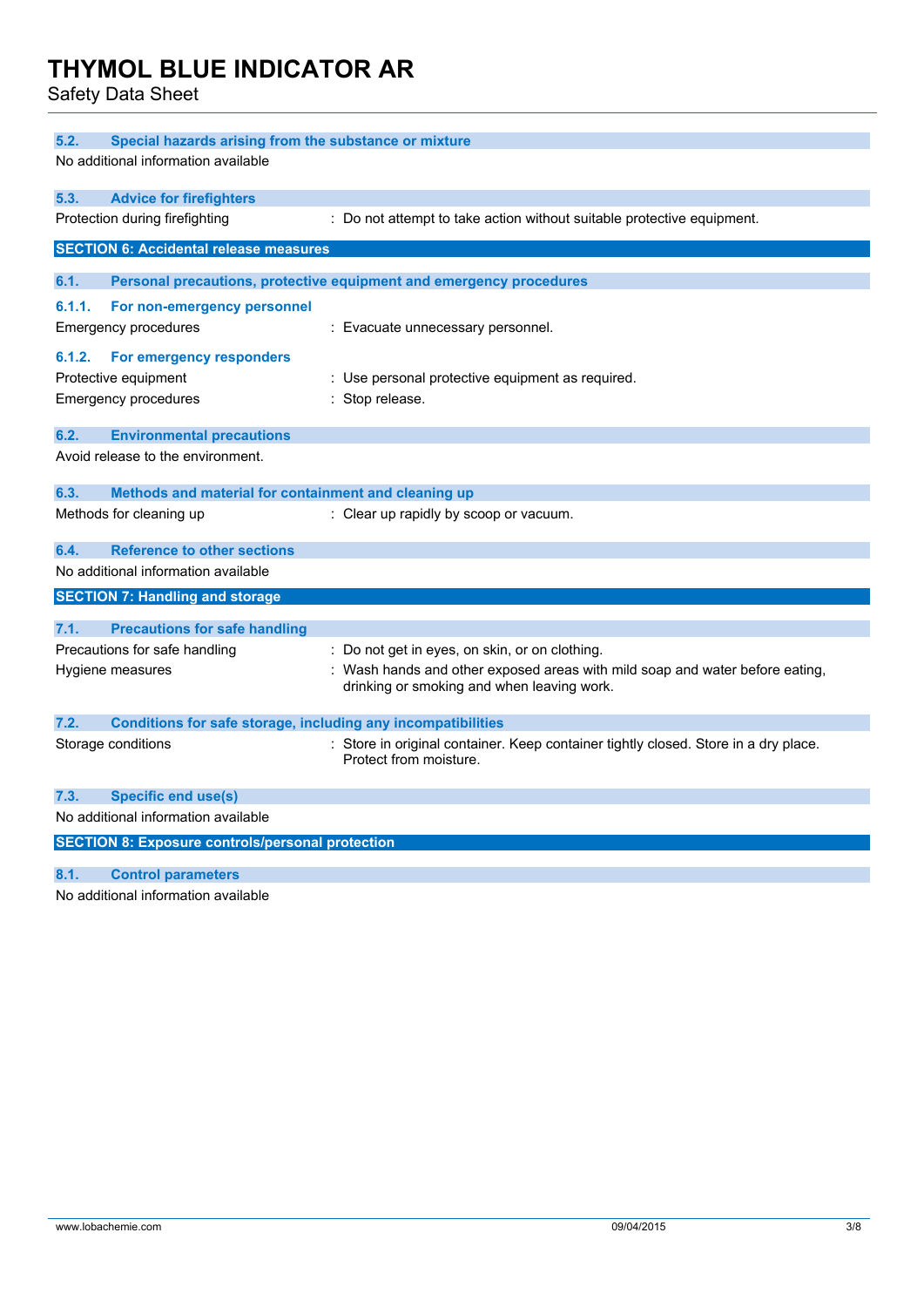Safety Data Sheet

| 5.2.<br>Special hazards arising from the substance or mixture        |                                                                                     |  |
|----------------------------------------------------------------------|-------------------------------------------------------------------------------------|--|
| No additional information available                                  |                                                                                     |  |
|                                                                      |                                                                                     |  |
| 5.3.<br><b>Advice for firefighters</b>                               |                                                                                     |  |
| Protection during firefighting                                       | : Do not attempt to take action without suitable protective equipment.              |  |
| <b>SECTION 6: Accidental release measures</b>                        |                                                                                     |  |
|                                                                      |                                                                                     |  |
| 6.1.                                                                 | Personal precautions, protective equipment and emergency procedures                 |  |
| 6.1.1.<br>For non-emergency personnel                                |                                                                                     |  |
| <b>Emergency procedures</b>                                          | : Evacuate unnecessary personnel.                                                   |  |
| 6.1.2.<br>For emergency responders                                   |                                                                                     |  |
| Protective equipment                                                 | : Use personal protective equipment as required.                                    |  |
| <b>Emergency procedures</b>                                          | Stop release.                                                                       |  |
|                                                                      |                                                                                     |  |
| 6.2.<br><b>Environmental precautions</b>                             |                                                                                     |  |
| Avoid release to the environment.                                    |                                                                                     |  |
|                                                                      |                                                                                     |  |
| 6.3.<br>Methods and material for containment and cleaning up         |                                                                                     |  |
| Methods for cleaning up                                              | : Clear up rapidly by scoop or vacuum.                                              |  |
| <b>Reference to other sections</b><br>6.4.                           |                                                                                     |  |
| No additional information available                                  |                                                                                     |  |
| <b>SECTION 7: Handling and storage</b>                               |                                                                                     |  |
|                                                                      |                                                                                     |  |
| 7.1.<br><b>Precautions for safe handling</b>                         |                                                                                     |  |
| Precautions for safe handling                                        | : Do not get in eyes, on skin, or on clothing.                                      |  |
| Hygiene measures                                                     | Wash hands and other exposed areas with mild soap and water before eating,          |  |
|                                                                      | drinking or smoking and when leaving work.                                          |  |
| 7.2.<br>Conditions for safe storage, including any incompatibilities |                                                                                     |  |
| Storage conditions                                                   | : Store in original container. Keep container tightly closed. Store in a dry place. |  |
|                                                                      | Protect from moisture.                                                              |  |
|                                                                      |                                                                                     |  |
| 7.3.<br>Specific end use(s)                                          |                                                                                     |  |
| No additional information available                                  |                                                                                     |  |
| <b>SECTION 8: Exposure controls/personal protection</b>              |                                                                                     |  |
| 8.1.<br><b>Control parameters</b>                                    |                                                                                     |  |

No additional information available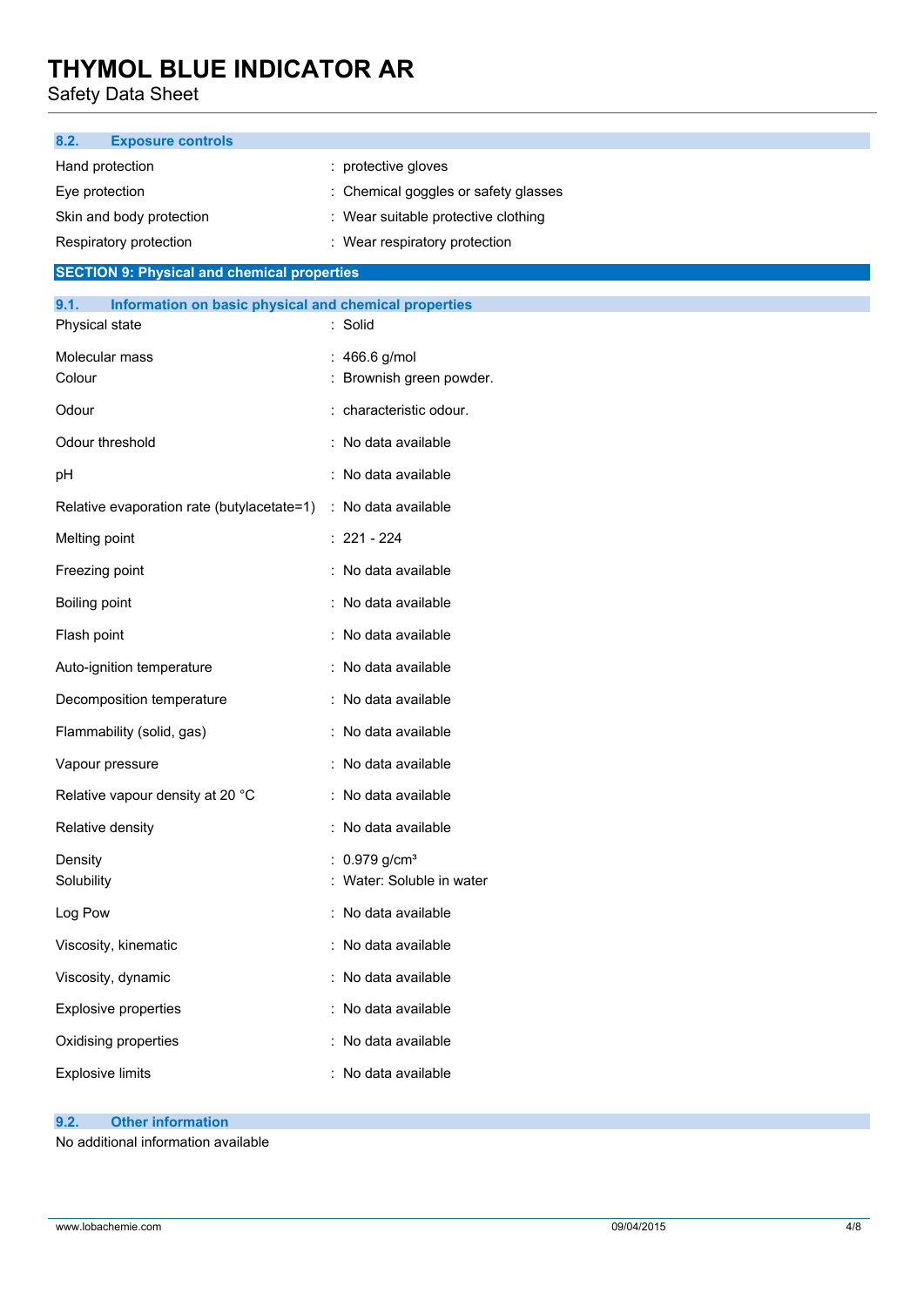Safety Data Sheet

| <b>Exposure controls</b><br>8.2.                              |                                      |
|---------------------------------------------------------------|--------------------------------------|
| Hand protection                                               | : protective gloves                  |
| Eye protection                                                | : Chemical goggles or safety glasses |
| Skin and body protection                                      | : Wear suitable protective clothing  |
| Respiratory protection                                        | : Wear respiratory protection        |
| <b>SECTION 9: Physical and chemical properties</b>            |                                      |
| 9.1.<br>Information on basic physical and chemical properties |                                      |
| Physical state                                                | : Solid                              |
| Molecular mass                                                | : 466.6 g/mol                        |
| Colour                                                        | : Brownish green powder.             |
| Odour                                                         | : characteristic odour.              |
| Odour threshold                                               | : No data available                  |
| pH                                                            | : No data available                  |
| Relative evaporation rate (butylacetate=1)                    | : No data available                  |
| Melting point                                                 | $: 221 - 224$                        |
| Freezing point                                                | : No data available                  |
| Boiling point                                                 | : No data available                  |
| Flash point                                                   | : No data available                  |
| Auto-ignition temperature                                     | : No data available                  |
| Decomposition temperature                                     | : No data available                  |
| Flammability (solid, gas)                                     | : No data available                  |
| Vapour pressure                                               | : No data available                  |
| Relative vapour density at 20 °C                              | : No data available                  |
| Relative density                                              | : No data available                  |
| Density                                                       | : $0.979$ g/cm <sup>3</sup>          |
| Solubility                                                    | : Water: Soluble in water            |
| Log Pow                                                       | : No data available                  |
| Viscosity, kinematic                                          | : No data available                  |
| Viscosity, dynamic                                            | : No data available                  |
| <b>Explosive properties</b>                                   | : No data available                  |
| Oxidising properties                                          | : No data available                  |
| <b>Explosive limits</b>                                       | : No data available                  |
|                                                               |                                      |

## **9.2. Other information**

No additional information available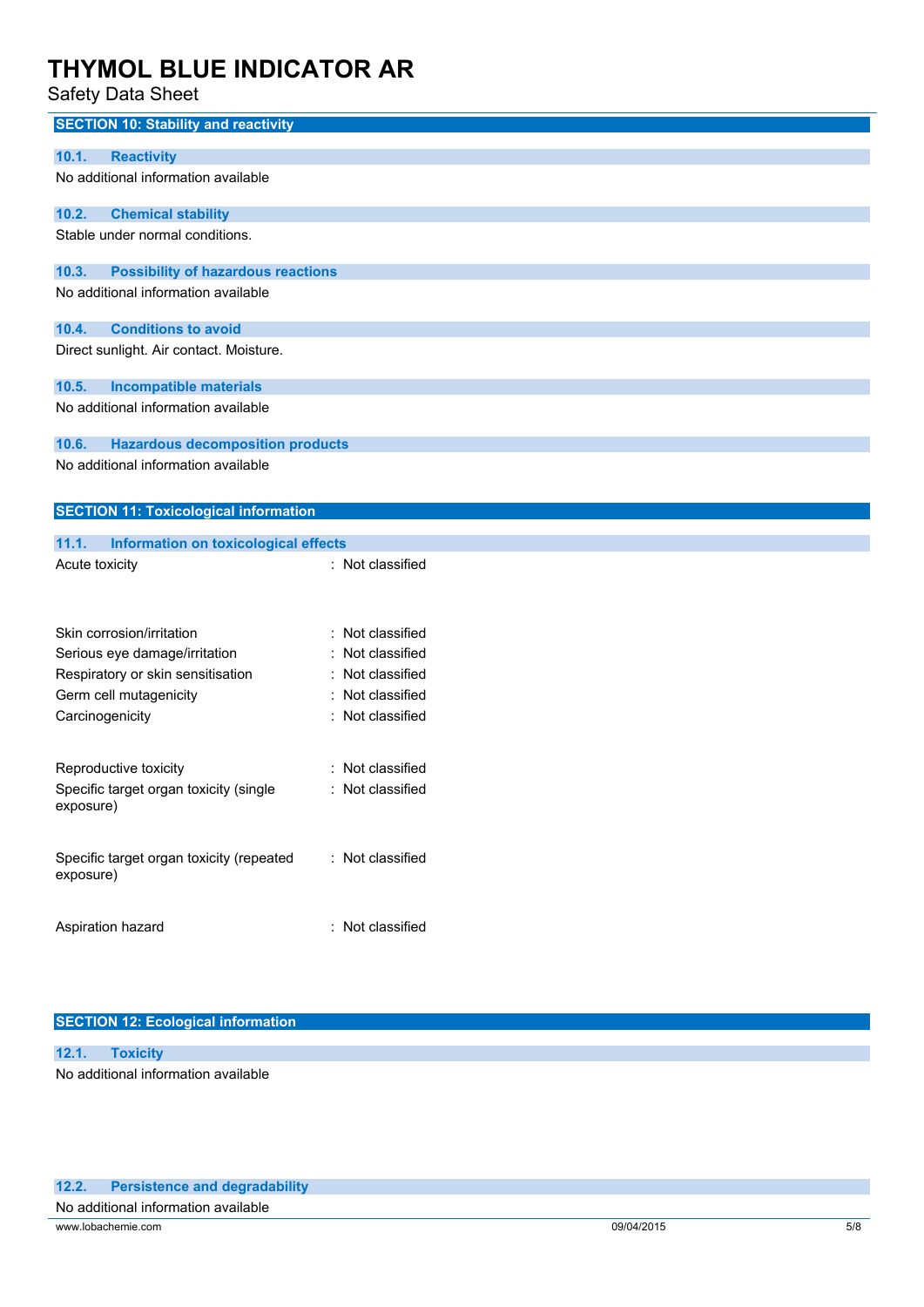Safety Data Sheet

| <b>SECTION 10: Stability and reactivity</b>           |                  |
|-------------------------------------------------------|------------------|
| <b>Reactivity</b><br>10.1.                            |                  |
| No additional information available                   |                  |
| 10.2.<br><b>Chemical stability</b>                    |                  |
| Stable under normal conditions.                       |                  |
| 10.3.<br><b>Possibility of hazardous reactions</b>    |                  |
| No additional information available                   |                  |
| 10.4.<br><b>Conditions to avoid</b>                   |                  |
| Direct sunlight. Air contact. Moisture.               |                  |
| 10.5.<br><b>Incompatible materials</b>                |                  |
| No additional information available                   |                  |
| 10.6.<br><b>Hazardous decomposition products</b>      |                  |
| No additional information available                   |                  |
| <b>SECTION 11: Toxicological information</b>          |                  |
| 11.1.<br><b>Information on toxicological effects</b>  |                  |
| Acute toxicity                                        | : Not classified |
|                                                       |                  |
|                                                       |                  |
| Skin corrosion/irritation                             | Not classified   |
| Serious eye damage/irritation                         | Not classified   |
| Respiratory or skin sensitisation                     | Not classified   |
| Germ cell mutagenicity                                | Not classified   |
| Carcinogenicity                                       | : Not classified |
| Reproductive toxicity                                 | Not classified   |
| Specific target organ toxicity (single<br>exposure)   | Not classified   |
| Specific target organ toxicity (repeated<br>exposure) | : Not classified |
| Aspiration hazard                                     | : Not classified |

### **SECTION 12: Ecological information**

**12.1. Toxicity** No additional information available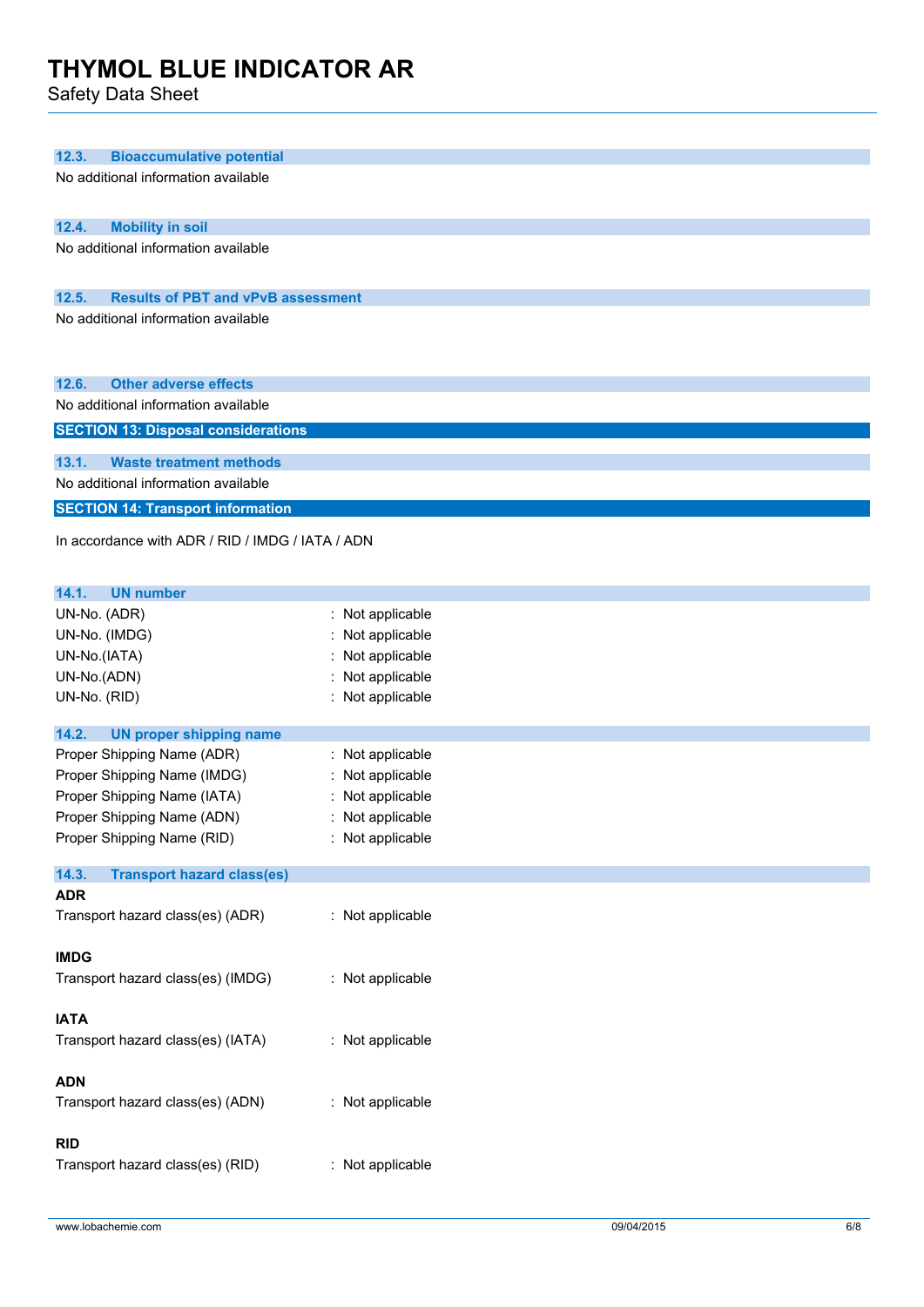Safety Data Sheet

| 12.3.<br><b>Bioaccumulative potential</b>                                    |                     |  |
|------------------------------------------------------------------------------|---------------------|--|
| No additional information available                                          |                     |  |
|                                                                              |                     |  |
| 12.4.<br><b>Mobility in soil</b>                                             |                     |  |
| No additional information available                                          |                     |  |
|                                                                              |                     |  |
| 12.5.<br><b>Results of PBT and vPvB assessment</b>                           |                     |  |
| No additional information available                                          |                     |  |
|                                                                              |                     |  |
|                                                                              |                     |  |
|                                                                              |                     |  |
| <b>Other adverse effects</b><br>12.6.<br>No additional information available |                     |  |
|                                                                              |                     |  |
| <b>SECTION 13: Disposal considerations</b>                                   |                     |  |
| 13.1.<br><b>Waste treatment methods</b>                                      |                     |  |
| No additional information available                                          |                     |  |
| <b>SECTION 14: Transport information</b>                                     |                     |  |
|                                                                              |                     |  |
| In accordance with ADR / RID / IMDG / IATA / ADN                             |                     |  |
|                                                                              |                     |  |
| 14.1.<br><b>UN number</b>                                                    |                     |  |
| UN-No. (ADR)                                                                 | Not applicable<br>÷ |  |
| UN-No. (IMDG)                                                                | Not applicable      |  |
| UN-No.(IATA)                                                                 | Not applicable      |  |
| UN-No.(ADN)                                                                  | Not applicable      |  |
| UN-No. (RID)                                                                 | Not applicable      |  |
|                                                                              |                     |  |
| 14.2.<br><b>UN proper shipping name</b>                                      |                     |  |
| Proper Shipping Name (ADR)                                                   | Not applicable<br>÷ |  |
| Proper Shipping Name (IMDG)                                                  | Not applicable      |  |
| Proper Shipping Name (IATA)                                                  | Not applicable      |  |
| Proper Shipping Name (ADN)                                                   | Not applicable      |  |
| Proper Shipping Name (RID)                                                   | : Not applicable    |  |
| <b>Transport hazard class(es)</b><br>14.3.                                   |                     |  |
| <b>ADR</b>                                                                   |                     |  |
| Transport hazard class(es) (ADR)                                             | : Not applicable    |  |
|                                                                              |                     |  |
| <b>IMDG</b>                                                                  |                     |  |
| Transport hazard class(es) (IMDG)                                            | : Not applicable    |  |
|                                                                              |                     |  |
| <b>IATA</b>                                                                  |                     |  |
| Transport hazard class(es) (IATA)                                            | : Not applicable    |  |
|                                                                              |                     |  |
| <b>ADN</b>                                                                   |                     |  |
| Transport hazard class(es) (ADN)                                             | : Not applicable    |  |
|                                                                              |                     |  |
| <b>RID</b>                                                                   |                     |  |
| Transport hazard class(es) (RID)                                             | : Not applicable    |  |
|                                                                              |                     |  |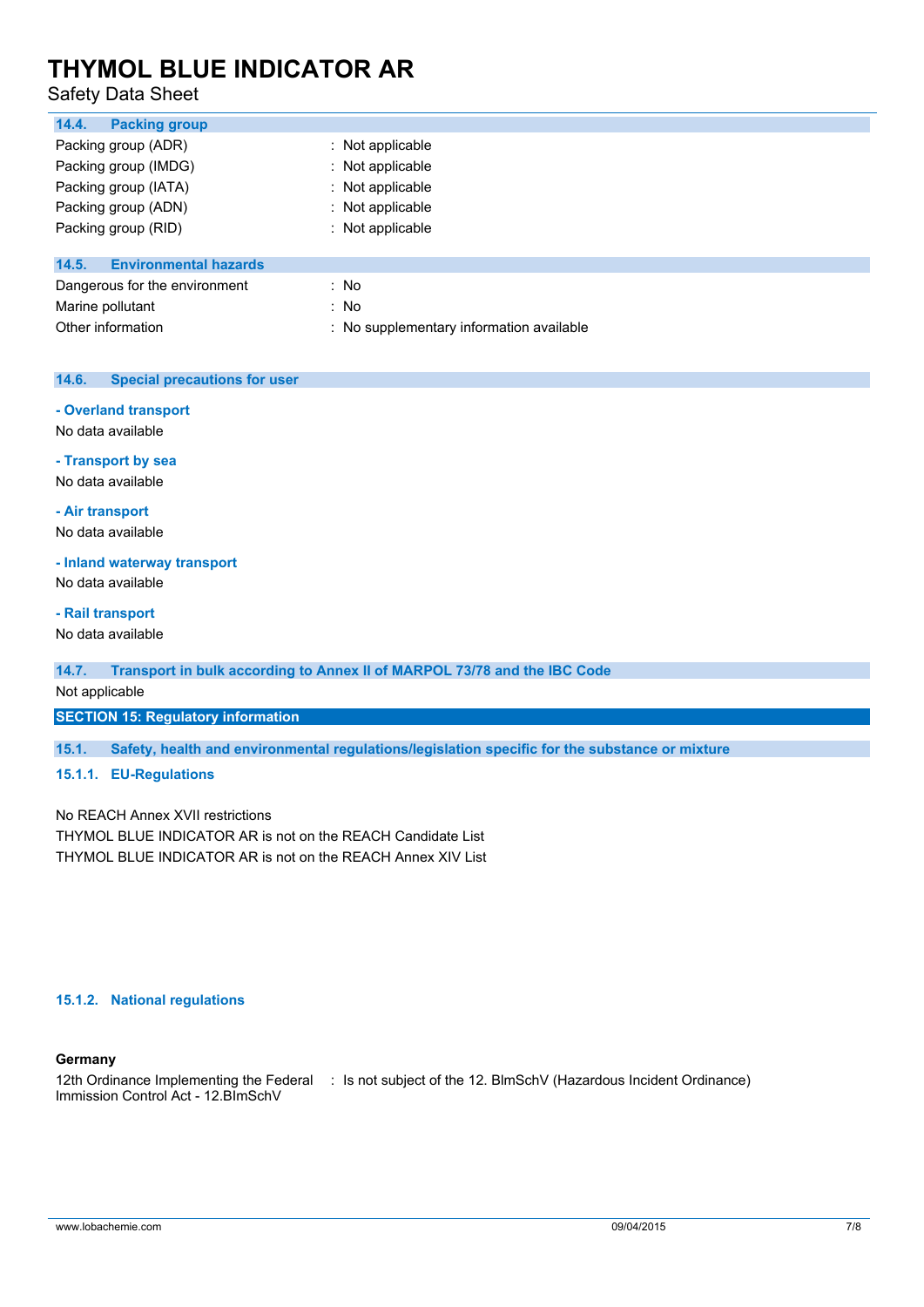## Safety Data Sheet

| 14.4.<br><b>Packing group</b>         |                                          |
|---------------------------------------|------------------------------------------|
| Packing group (ADR)                   | $\therefore$ Not applicable              |
| Packing group (IMDG)                  | : Not applicable                         |
| Packing group (IATA)                  | : Not applicable                         |
| Packing group (ADN)                   | : Not applicable                         |
| Packing group (RID)                   | : Not applicable                         |
| <b>Environmental hazards</b><br>14.5. |                                          |
| Dangerous for the environment         | : No                                     |
| Marine pollutant                      | : No                                     |
| Other information                     | : No supplementary information available |
|                                       |                                          |

### **14.6. Special precautions for user**

### **- Overland transport**

No data available

**- Transport by sea**

No data available

**- Air transport**

No data available

### **- Inland waterway transport**

No data available

### **- Rail transport**

No data available

### **14.7. Transport in bulk according to Annex II of MARPOL 73/78 and the IBC Code**

Not applicable

### **SECTION 15: Regulatory information**

**15.1. Safety, health and environmental regulations/legislation specific for the substance or mixture**

### **15.1.1. EU-Regulations**

No REACH Annex XVII restrictions THYMOL BLUE INDICATOR AR is not on the REACH Candidate List THYMOL BLUE INDICATOR AR is not on the REACH Annex XIV List

### **15.1.2. National regulations**

### **Germany**

12th Ordinance Implementing the Federal : Is not subject of the 12. BlmSchV (Hazardous Incident Ordinance)Immission Control Act - 12.BImSchV